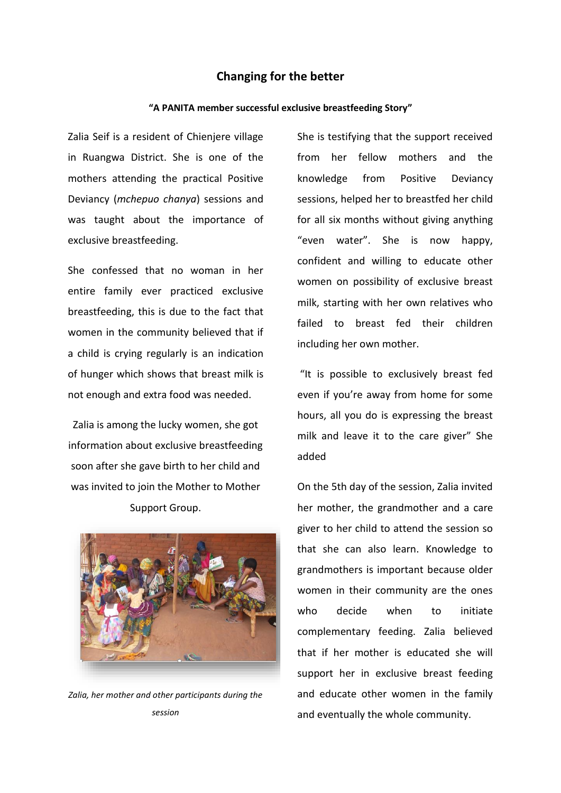## **Changing for the better**

## **"A PANITA member successful exclusive breastfeeding Story"**

Zalia Seif is a resident of Chienjere village in Ruangwa District. She is one of the mothers attending the practical Positive Deviancy (*mchepuo chanya*) sessions and was taught about the importance of exclusive breastfeeding.

She confessed that no woman in her entire family ever practiced exclusive breastfeeding, this is due to the fact that women in the community believed that if a child is crying regularly is an indication of hunger which shows that breast milk is not enough and extra food was needed.

Zalia is among the lucky women, she got information about exclusive breastfeeding soon after she gave birth to her child and was invited to join the Mother to Mother Support Group.



*Zalia, her mother and other participants during the session*

She is testifying that the support received from her fellow mothers and the knowledge from Positive Deviancy sessions, helped her to breastfed her child for all six months without giving anything "even water". She is now happy, confident and willing to educate other women on possibility of exclusive breast milk, starting with her own relatives who failed to breast fed their children including her own mother.

"It is possible to exclusively breast fed even if you're away from home for some hours, all you do is expressing the breast milk and leave it to the care giver" She added

On the 5th day of the session, Zalia invited her mother, the grandmother and a care giver to her child to attend the session so that she can also learn. Knowledge to grandmothers is important because older women in their community are the ones who decide when to initiate complementary feeding. Zalia believed that if her mother is educated she will support her in exclusive breast feeding and educate other women in the family and eventually the whole community.